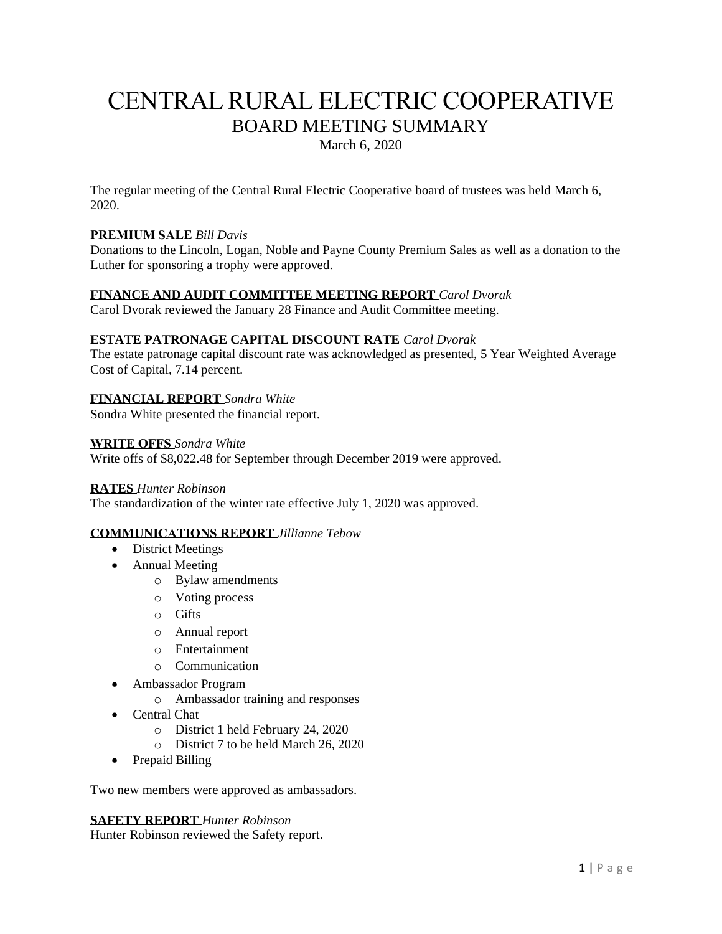# CENTRAL RURAL ELECTRIC COOPERATIVE BOARD MEETING SUMMARY

March 6, 2020

The regular meeting of the Central Rural Electric Cooperative board of trustees was held March 6, 2020.

### **PREMIUM SALE** *Bill Davis*

Donations to the Lincoln, Logan, Noble and Payne County Premium Sales as well as a donation to the Luther for sponsoring a trophy were approved.

#### **FINANCE AND AUDIT COMMITTEE MEETING REPORT** *Carol Dvorak*

Carol Dvorak reviewed the January 28 Finance and Audit Committee meeting.

#### **ESTATE PATRONAGE CAPITAL DISCOUNT RATE** *Carol Dvorak*

The estate patronage capital discount rate was acknowledged as presented, 5 Year Weighted Average Cost of Capital, 7.14 percent.

#### **FINANCIAL REPORT** *Sondra White*

Sondra White presented the financial report.

#### **WRITE OFFS** *Sondra White*

Write offs of \$8,022.48 for September through December 2019 were approved.

#### **RATES** *Hunter Robinson*

The standardization of the winter rate effective July 1, 2020 was approved.

#### **COMMUNICATIONS REPORT** *Jillianne Tebow*

- District Meetings
- Annual Meeting
	- o Bylaw amendments
	- o Voting process
	- o Gifts
	- o Annual report
	- o Entertainment
	- o Communication
- Ambassador Program
	- o Ambassador training and responses
- Central Chat
	- o District 1 held February 24, 2020
	- o District 7 to be held March 26, 2020
- Prepaid Billing

Two new members were approved as ambassadors.

#### **SAFETY REPORT** *Hunter Robinson*

Hunter Robinson reviewed the Safety report.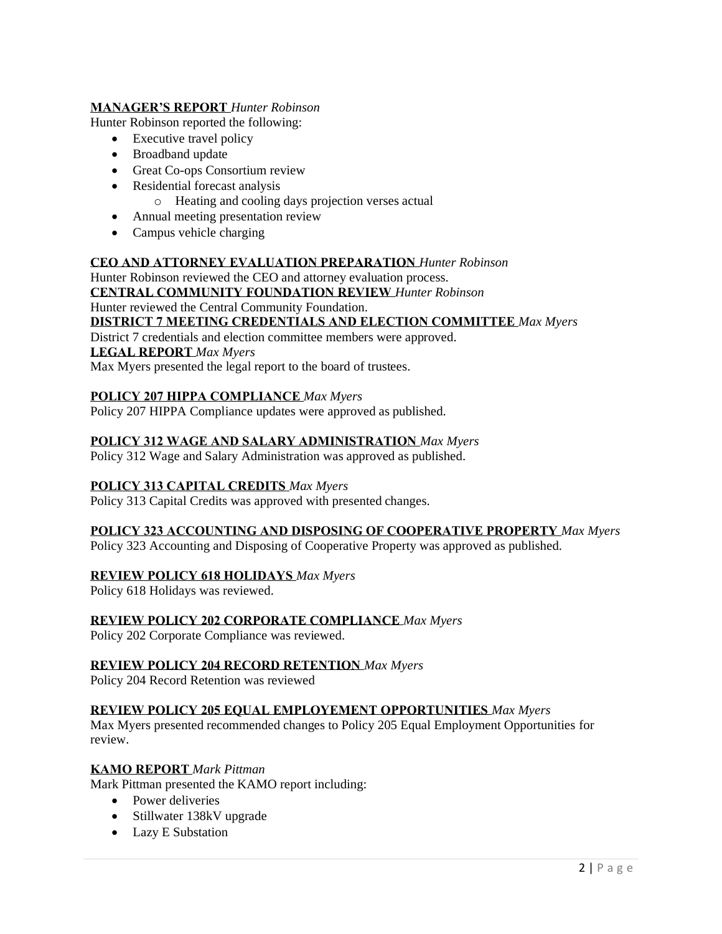## **MANAGER'S REPORT** *Hunter Robinson*

Hunter Robinson reported the following:

- Executive travel policy
- Broadband update
- Great Co-ops Consortium review
- Residential forecast analysis
	- o Heating and cooling days projection verses actual
- Annual meeting presentation review
- Campus vehicle charging

## **CEO AND ATTORNEY EVALUATION PREPARATION** *Hunter Robinson*

Hunter Robinson reviewed the CEO and attorney evaluation process.

**CENTRAL COMMUNITY FOUNDATION REVIEW** *Hunter Robinson*

#### Hunter reviewed the Central Community Foundation.

## **DISTRICT 7 MEETING CREDENTIALS AND ELECTION COMMITTEE** *Max Myers*

District 7 credentials and election committee members were approved.

**LEGAL REPORT** *Max Myers*

Max Myers presented the legal report to the board of trustees.

## **POLICY 207 HIPPA COMPLIANCE** *Max Myers*

Policy 207 HIPPA Compliance updates were approved as published.

## **POLICY 312 WAGE AND SALARY ADMINISTRATION** *Max Myers*

Policy 312 Wage and Salary Administration was approved as published.

# **POLICY 313 CAPITAL CREDITS** *Max Myers*

Policy 313 Capital Credits was approved with presented changes.

#### **POLICY 323 ACCOUNTING AND DISPOSING OF COOPERATIVE PROPERTY** *Max Myers*

Policy 323 Accounting and Disposing of Cooperative Property was approved as published.

# **REVIEW POLICY 618 HOLIDAYS** *Max Myers*

Policy 618 Holidays was reviewed.

# **REVIEW POLICY 202 CORPORATE COMPLIANCE** *Max Myers*

Policy 202 Corporate Compliance was reviewed.

#### **REVIEW POLICY 204 RECORD RETENTION** *Max Myers*

Policy 204 Record Retention was reviewed

#### **REVIEW POLICY 205 EQUAL EMPLOYEMENT OPPORTUNITIES** *Max Myers*

Max Myers presented recommended changes to Policy 205 Equal Employment Opportunities for review.

#### **KAMO REPORT** *Mark Pittman*

Mark Pittman presented the KAMO report including:

- Power deliveries
- Stillwater 138kV upgrade
- Lazy E Substation